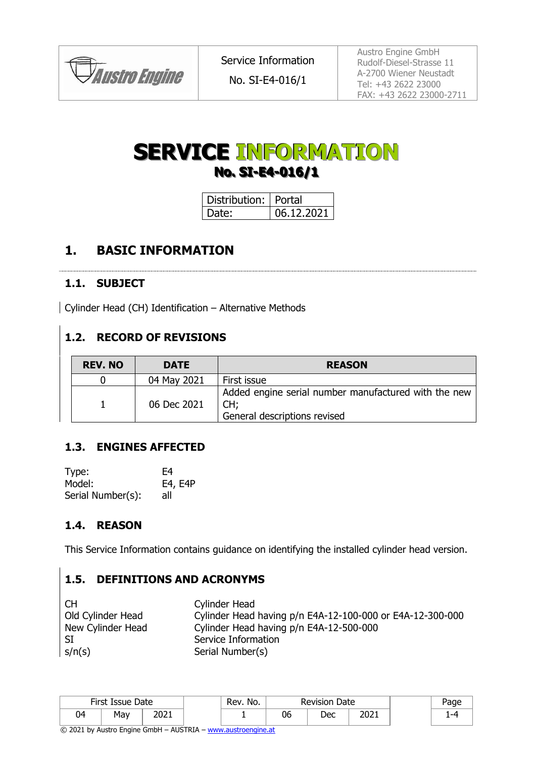

# **SERVICE INFORMATION No. SI-E4-016/1**

| Distribution:   Portal |            |
|------------------------|------------|
| I Date:                | 06.12.2021 |

# **1. BASIC INFORMATION**

#### **1.1. SUBJECT**

Cylinder Head (CH) Identification – Alternative Methods

## **1.2. RECORD OF REVISIONS**

| <b>REV. NO</b> | <b>DATE</b> | <b>REASON</b>                                                                               |
|----------------|-------------|---------------------------------------------------------------------------------------------|
|                | 04 May 2021 | First issue                                                                                 |
|                | 06 Dec 2021 | Added engine serial number manufactured with the new<br>CH:<br>General descriptions revised |

## **1.3. ENGINES AFFECTED**

| Type:             | F4      |
|-------------------|---------|
| Model:            | E4, E4P |
| Serial Number(s): | all     |

## **1.4. REASON**

This Service Information contains guidance on identifying the installed cylinder head version.

## **1.5. DEFINITIONS AND ACRONYMS**

CH Cylinder Head Old Cylinder Head Cylinder Head having p/n E4A-12-100-000 or E4A-12-300-000 New Cylinder Head Cylinder Head having p/n E4A-12-500-000 SI Service Information s/n(s) Serial Number(s)

| First Issue Date |     | Rev. No.     | <b>Revision Date</b> |    |     |      |  |
|------------------|-----|--------------|----------------------|----|-----|------|--|
| 04               | May | ירחר<br>∠∪∠⊥ |                      | 06 | Dec | 2021 |  |

© 2021 by Austro Engine GmbH – AUSTRIA – [www.austroengine.at](http://www.austroengine.at/)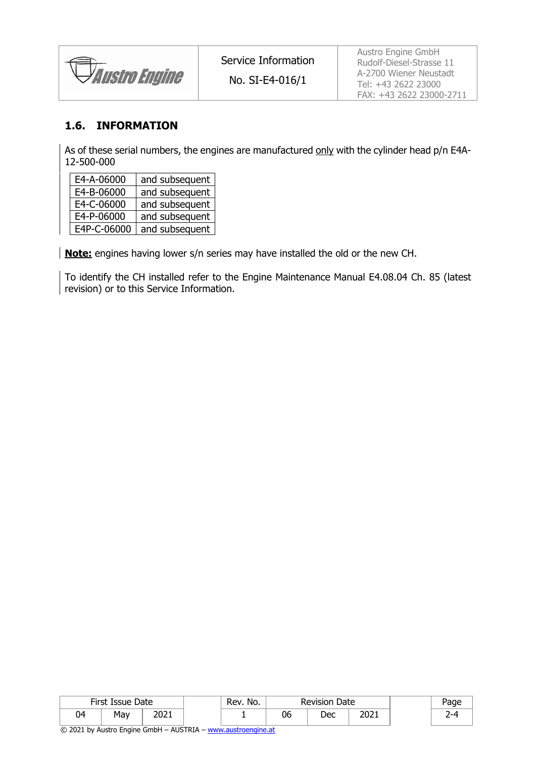*Austro Engine* 

No. SI-E4-016/1

Austro Engine GmbH Rudolf-Diesel-Strasse 11 A-2700 Wiener Neustadt Tel: +43 2622 23000 FAX: +43 2622 23000-2711

#### **1.6. INFORMATION**

As of these serial numbers, the engines are manufactured only with the cylinder head p/n E4A-12-500-000

| E4-A-06000  | and subsequent |
|-------------|----------------|
| E4-B-06000  | and subsequent |
| E4-C-06000  | and subsequent |
| E4-P-06000  | and subsequent |
| E4P-C-06000 | and subsequent |

**Note:** engines having lower s/n series may have installed the old or the new CH.

To identify the CH installed refer to the Engine Maintenance Manual E4.08.04 Ch. 85 (latest revision) or to this Service Information.

|    | First Issue Date |       | 'Rev.No. | <b>Revision Date</b> |     |      |  |
|----|------------------|-------|----------|----------------------|-----|------|--|
| 04 | May              | י רחר |          | 06                   | Dec | 2021 |  |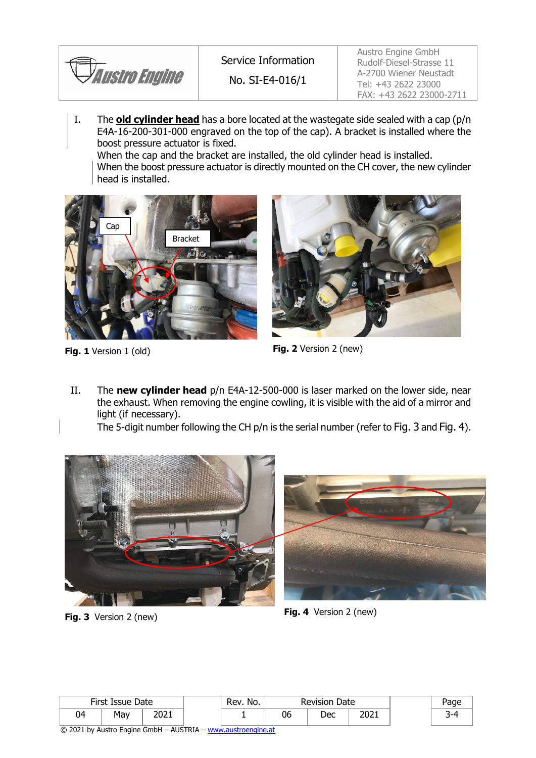

Service Information

No. SI-E4-016/1

Austro Engine GmbH Rudolf-Diesel-Strasse 11 A-2700 Wiener Neustadt Tel: +43 2622 23000 FAX: +43 2622 23000-2711

I. The **old cylinder head** has a bore located at the wastegate side sealed with a cap (p/n E4A-16-200-301-000 engraved on the top of the cap). A bracket is installed where the boost pressure actuator is fixed.

When the cap and the bracket are installed, the old cylinder head is installed.

When the boost pressure actuator is directly mounted on the CH cover, the new cylinder head is installed.





**Fig. 1** Version 1 (old) **Fig. 2** Version 2 (new)

II. The **new cylinder head** p/n E4A-12-500-000 is laser marked on the lower side, near the exhaust. When removing the engine cowling, it is visible with the aid of a mirror and light (if necessary).

The 5-digit number following the CH p/n is the serial number (refer to [Fig.](#page-2-0) 3 and [Fig. 4](#page-2-1)).





**Fig. 3** Version 2 (new) **Fig. 4** Version 2 (new)

<span id="page-2-1"></span>

<span id="page-2-0"></span>

|    | First Issue Date<br>Rev. No.<br><b>Revision Date</b> |              |  |  |    |     |      |  |
|----|------------------------------------------------------|--------------|--|--|----|-----|------|--|
| 04 | May                                                  | ∗ר∩ר<br>∠∪∠⊥ |  |  | 06 | Dec | 2021 |  |

© 2021 by Austro Engine GmbH – AUSTRIA – [www.austroengine.at](http://www.austroengine.at/)